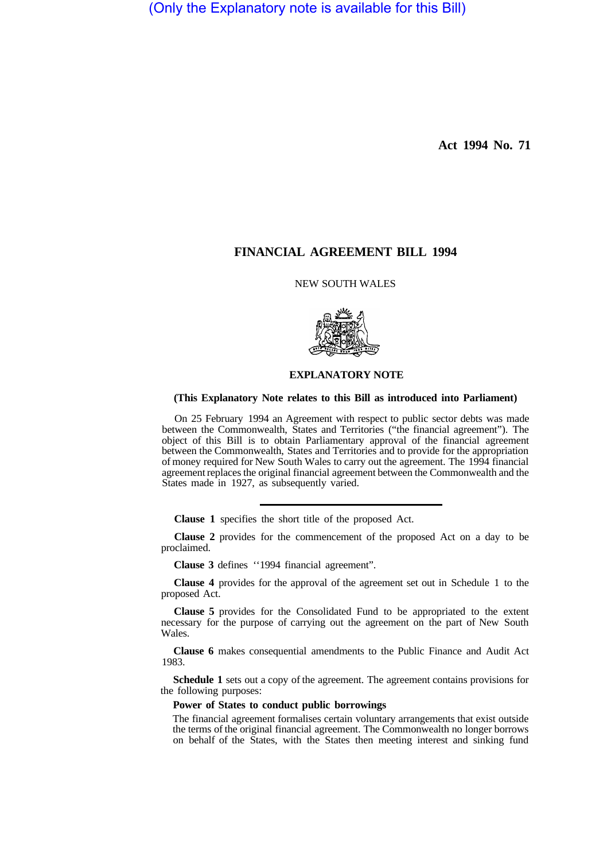(Only the Explanatory note is available for this Bill)

**Act 1994 No. 71** 

# **FINANCIAL AGREEMENT BILL 1994**

NEW SOUTH WALES



## **EXPLANATORY NOTE**

### **(This Explanatory Note relates to this Bill as introduced into Parliament)**

On 25 February 1994 an Agreement with respect to public sector debts was made between the Commonwealth, States and Territories ("the financial agreement"). The object of this Bill is to obtain Parliamentary approval of the financial agreement between the Commonwealth, States and Territories and to provide for the appropriation of money required for New South Wales to carry out the agreement. The 1994 financial agreement replaces the original financial agreement between the Commonwealth and the States made in 1927, as subsequently varied.

**Clause 1** specifies the short title of the proposed Act.

**Clause 2** provides for the commencement of the proposed Act on a day to be proclaimed.

**Clause 3** defines ''1994 financial agreement".

**Clause 4** provides for the approval of the agreement set out in Schedule 1 to the proposed Act.

**Clause 5** provides for the Consolidated Fund to be appropriated to the extent necessary for the purpose of carrying out the agreement on the part of New South Wales.

**Clause 6** makes consequential amendments to the Public Finance and Audit Act 1983.

**Schedule 1** sets out a copy of the agreement. The agreement contains provisions for the following purposes:

#### **Power of States to conduct public borrowings**

The financial agreement formalises certain voluntary arrangements that exist outside the terms of the original financial agreement. The Commonwealth no longer borrows on behalf of the States, with the States then meeting interest and sinking fund